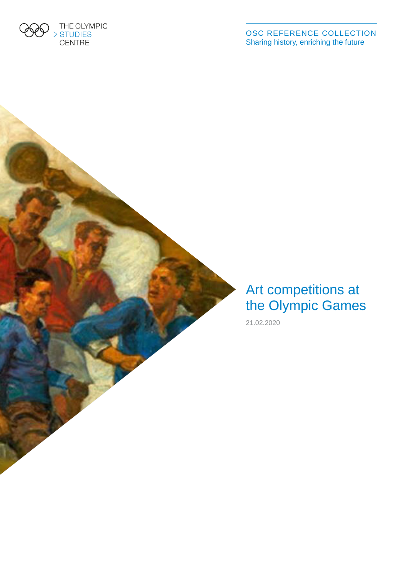

OSC REFERENCE COLLECTION Sharing history, enriching the future

### Art competitions at the Olympic Games

21.02.2020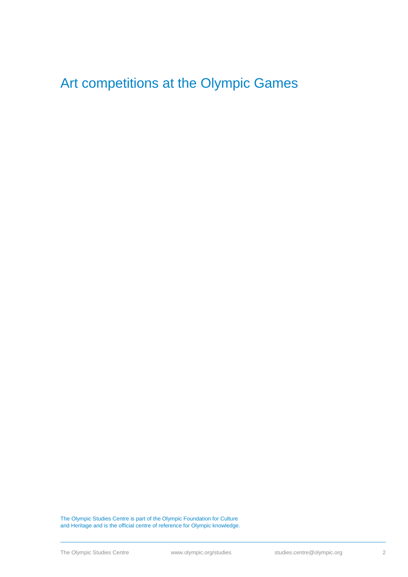### Art competitions at the Olympic Games

The Olympic Studies Centre is part of the Olympic Foundation for Culture and Heritage and is the official centre of reference for Olympic knowledge.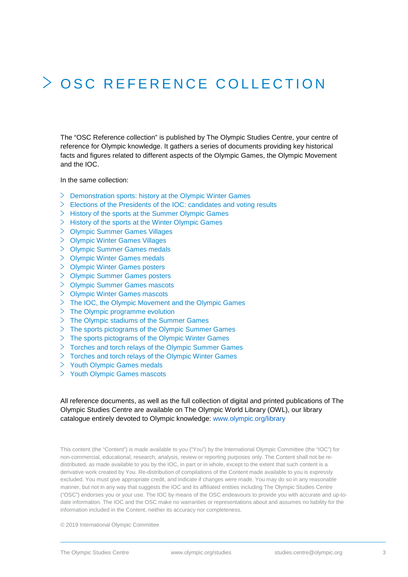# OSC REFERENCE COLLEC TION

The "OSC Reference collection" is published by The Olympic Studies Centre, your centre of reference for Olympic knowledge. It gathers a series of documents providing key historical facts and figures related to different aspects of the Olympic Games, the Olympic Movement and the IOC.

In the same collection:

- $\geq$  Demonstration sports: history at the Olympic Winter Games
- $\geq$  Elections of the Presidents of the IOC: candidates and voting results
- $\geq$  History of the sports at the Summer Olympic Games
- $\geq$  History of the sports at the Winter Olympic Games
- Olympic Summer Games Villages
- $\geq$  Olympic Winter Games Villages
- $\geq$  Olympic Summer Games medals
- Olympic Winter Games medals
- $\geq$  Olympic Winter Games posters
- Olympic Summer Games posters
- Olympic Summer Games mascots
- Olympic Winter Games mascots
- $\geq$  The IOC, the Olympic Movement and the Olympic Games
- $\geq$  The Olympic programme evolution
- $\geq$  The Olympic stadiums of the Summer Games
- $\geq$  The sports pictograms of the Olympic Summer Games
- $\geq$  The sports pictograms of the Olympic Winter Games
- $\geq$  Torches and torch relays of the Olympic Summer Games
- $>$  Torches and torch relays of the Olympic Winter Games
- $>$  Youth Olympic Games medals
- $>$  Youth Olympic Games mascots

### All reference documents, as well as the full collection of digital and printed publications of The Olympic Studies Centre are available on The Olympic World Library (OWL), our library catalogue entirely devoted to Olympic knowledge: [www.olympic.org/library](http://www.olympic.org/library)

This content (the "Content") is made available to you ("You") by the International Olympic Committee (the "IOC") for non-commercial, educational, research, analysis, review or reporting purposes only. The Content shall not be redistributed, as made available to you by the IOC, in part or in whole, except to the extent that such content is a derivative work created by You. Re-distribution of compilations of the Content made available to you is expressly excluded. You must give appropriate credit, and indicate if changes were made. You may do so in any reasonable manner, but not in any way that suggests the IOC and its affiliated entities including The Olympic Studies Centre ("OSC") endorses you or your use. The IOC by means of the OSC endeavours to provide you with accurate and up-todate information. The IOC and the OSC make no warranties or representations about and assumes no liability for the information included in the Content, neither its accuracy nor completeness.

© 2019 International Olympic Committee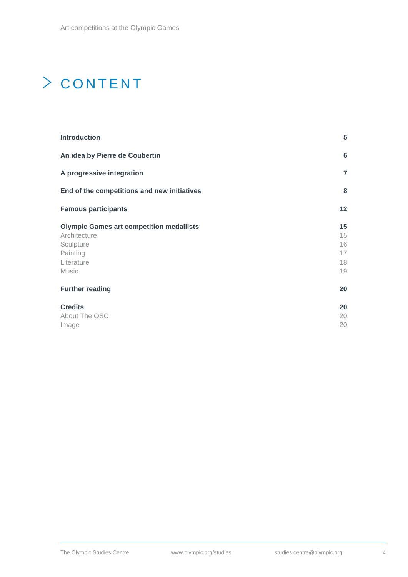# > CONTENT

| <b>Introduction</b>                             | 5               |
|-------------------------------------------------|-----------------|
| An idea by Pierre de Coubertin                  | 6               |
| A progressive integration                       | $\overline{7}$  |
| End of the competitions and new initiatives     | 8               |
| <b>Famous participants</b>                      | 12 <sub>2</sub> |
| <b>Olympic Games art competition medallists</b> | 15              |
| Architecture                                    | 15              |
| Sculpture                                       | 16              |
| Painting                                        | 17              |
| Literature                                      | 18              |
| <b>Music</b>                                    | 19              |
| <b>Further reading</b>                          | 20              |
| <b>Credits</b>                                  | 20              |
| About The OSC                                   | 20              |
| Image                                           | 20              |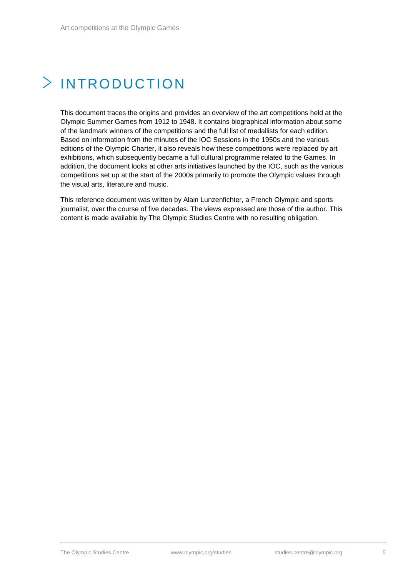# <span id="page-4-0"></span>INTRODUCTION

This document traces the origins and provides an overview of the art competitions held at the Olympic Summer Games from 1912 to 1948. It contains biographical information about some of the landmark winners of the competitions and the full list of medallists for each edition. Based on information from the minutes of the IOC Sessions in the 1950s and the various editions of the Olympic Charter, it also reveals how these competitions were replaced by art exhibitions, which subsequently became a full cultural programme related to the Games. In addition, the document looks at other arts initiatives launched by the IOC, such as the various competitions set up at the start of the 2000s primarily to promote the Olympic values through the visual arts, literature and music.

This reference document was written by Alain Lunzenfichter, a French Olympic and sports journalist, over the course of five decades. The views expressed are those of the author. This content is made available by The Olympic Studies Centre with no resulting obligation.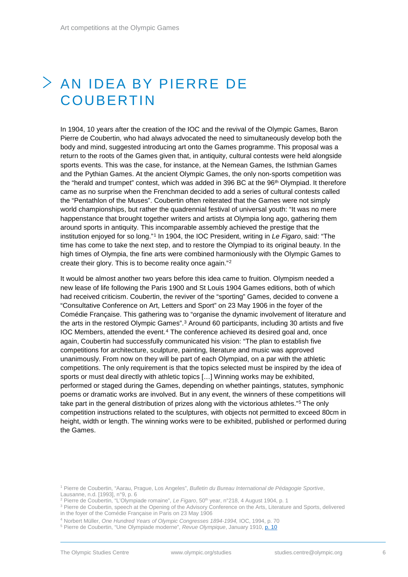### <span id="page-5-0"></span>AN IDEA BY PIERRE DE **COUBERTIN**

In 1904, 10 years after the creation of the IOC and the revival of the Olympic Games, Baron Pierre de Coubertin, who had always advocated the need to simultaneously develop both the body and mind, suggested introducing art onto the Games programme. This proposal was a return to the roots of the Games given that, in antiquity, cultural contests were held alongside sports events. This was the case, for instance, at the Nemean Games, the Isthmian Games and the Pythian Games. At the ancient Olympic Games, the only non-sports competition was the "herald and trumpet" contest, which was added in 396 BC at the 96th Olympiad. It therefore came as no surprise when the Frenchman decided to add a series of cultural contests called the "Pentathlon of the Muses". Coubertin often reiterated that the Games were not simply world championships, but rather the quadrennial festival of universal youth: "It was no mere happenstance that brought together writers and artists at Olympia long ago, gathering them around sports in antiquity. This incomparable assembly achieved the prestige that the institution enjoyed for so long."[1](#page-5-1) In 1904, the IOC President, writing in *Le Figaro*, said: "The time has come to take the next step, and to restore the Olympiad to its original beauty. In the high times of Olympia, the fine arts were combined harmoniously with the Olympic Games to create their glory. This is to become reality once again."[2](#page-5-2)

It would be almost another two years before this idea came to fruition. Olympism needed a new lease of life following the Paris 1900 and St Louis 1904 Games editions, both of which had received criticism. Coubertin, the reviver of the "sporting" Games, decided to convene a "Consultative Conference on Art, Letters and Sport" on 23 May 1906 in the foyer of the Comédie Française. This gathering was to "organise the dynamic involvement of literature and the arts in the restored Olympic Games".[3](#page-5-3) Around 60 participants, including 30 artists and five IOC Members, attended the event.<sup>[4](#page-5-4)</sup> The conference achieved its desired goal and, once again, Coubertin had successfully communicated his vision: "The plan to establish five competitions for architecture, sculpture, painting, literature and music was approved unanimously. From now on they will be part of each Olympiad, on a par with the athletic competitions. The only requirement is that the topics selected must be inspired by the idea of sports or must deal directly with athletic topics […] Winning works may be exhibited, performed or staged during the Games, depending on whether paintings, statutes, symphonic poems or dramatic works are involved. But in any event, the winners of these competitions will take part in the general distribution of prizes along with the victorious athletes."[5](#page-5-5) The only competition instructions related to the sculptures, with objects not permitted to exceed 80cm in height, width or length. The winning works were to be exhibited, published or performed during the Games.

<sup>4</sup> Norbert Müller, *One Hundred Years of Olympic Congresses 1894-1994,* IOC, 1994, p. 70

<span id="page-5-1"></span><sup>1</sup> Pierre de Coubertin, "Aarau, Prague, Los Angeles", *Bulletin du Bureau International de Pédagogie Sportive*, Lausanne, n.d. [1993], n°9, p. 6<br><sup>2</sup> Pierre de Coubertin, "L'Olympiade romaine", *Le Figaro*, 50<sup>th</sup> year, n°218, 4 August 1904, p. 1

<span id="page-5-2"></span>

<span id="page-5-3"></span><sup>&</sup>lt;sup>3</sup> Pierre de Coubertin, speech at the Opening of the Advisory Conference on the Arts, Literature and Sports, delivered in the foyer of the Comédie Française in Paris on 23 May 1906

<span id="page-5-5"></span><span id="page-5-4"></span><sup>5</sup> Pierre de Coubertin, "Une Olympiade moderne", *Revue Olympique*, January 1910[, p. 10](https://library.olympic.org/Default/doc/SYRACUSE/168824/revue-olympique-bulletin-trimestriel-du-comite-international-olympique-vol-49-janvier-1910)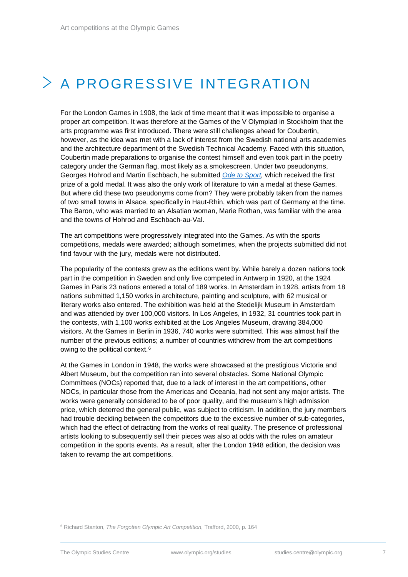# <span id="page-6-0"></span> $>$  A PROGRESSIVE INTEGRATION

For the London Games in 1908, the lack of time meant that it was impossible to organise a proper art competition. It was therefore at the Games of the V Olympiad in Stockholm that the arts programme was first introduced. There were still challenges ahead for Coubertin, however, as the idea was met with a lack of interest from the Swedish national arts academies and the architecture department of the Swedish Technical Academy. Faced with this situation, Coubertin made preparations to organise the contest himself and even took part in the poetry category under the German flag, most likely as a smokescreen. Under two pseudonyms, Georges Hohrod and Martin Eschbach, he submitted *[Ode to Sport,](https://library.olympic.org/Default/doc/SYRACUSE/45409/ode-au-sport-par-georges-hohrod-et-m-eschbach)* which received the first prize of a gold medal. It was also the only work of literature to win a medal at these Games. But where did these two pseudonyms come from? They were probably taken from the names of two small towns in Alsace, specifically in Haut-Rhin, which was part of Germany at the time. The Baron, who was married to an Alsatian woman, Marie Rothan, was familiar with the area and the towns of Hohrod and Eschbach-au-Val.

The art competitions were progressively integrated into the Games. As with the sports competitions, medals were awarded; although sometimes, when the projects submitted did not find favour with the jury, medals were not distributed.

The popularity of the contests grew as the editions went by. While barely a dozen nations took part in the competition in Sweden and only five competed in Antwerp in 1920, at the 1924 Games in Paris 23 nations entered a total of 189 works. In Amsterdam in 1928, artists from 18 nations submitted 1,150 works in architecture, painting and sculpture, with 62 musical or literary works also entered. The exhibition was held at the Stedelijk Museum in Amsterdam and was attended by over 100,000 visitors. In Los Angeles, in 1932, 31 countries took part in the contests, with 1,100 works exhibited at the Los Angeles Museum, drawing 384,000 visitors. At the Games in Berlin in 1936, 740 works were submitted. This was almost half the number of the previous editions; a number of countries withdrew from the art competitions owing to the political context.<sup>[6](#page-6-1)</sup>

At the Games in London in 1948, the works were showcased at the prestigious Victoria and Albert Museum, but the competition ran into several obstacles. Some National Olympic Committees (NOCs) reported that, due to a lack of interest in the art competitions, other NOCs, in particular those from the Americas and Oceania, had not sent any major artists. The works were generally considered to be of poor quality, and the museum's high admission price, which deterred the general public, was subject to criticism. In addition, the jury members had trouble deciding between the competitors due to the excessive number of sub-categories, which had the effect of detracting from the works of real quality. The presence of professional artists looking to subsequently sell their pieces was also at odds with the rules on amateur competition in the sports events. As a result, after the London 1948 edition, the decision was taken to revamp the art competitions.

<span id="page-6-1"></span><sup>6</sup> Richard Stanton, *The Forgotten Olympic Art Competition*, Trafford, 2000, p. 164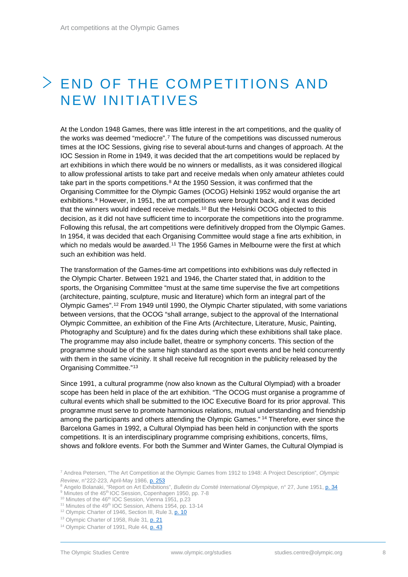### <span id="page-7-0"></span>END OF THE COMPETITIONS AND NEW INITIATIVES

At the London 1948 Games, there was little interest in the art competitions, and the quality of the works was deemed "mediocre".[7](#page-7-1) The future of the competitions was discussed numerous times at the IOC Sessions, giving rise to several about-turns and changes of approach. At the IOC Session in Rome in 1949, it was decided that the art competitions would be replaced by art exhibitions in which there would be no winners or medallists, as it was considered illogical to allow professional artists to take part and receive medals when only amateur athletes could take part in the sports competitions.<sup>[8](#page-7-2)</sup> At the 1950 Session, it was confirmed that the Organising Committee for the Olympic Games (OCOG) Helsinki 1952 would organise the art exhibitions.[9](#page-7-3) However, in 1951, the art competitions were brought back, and it was decided that the winners would indeed receive medals.[10](#page-7-4) But the Helsinki OCOG objected to this decision, as it did not have sufficient time to incorporate the competitions into the programme. Following this refusal, the art competitions were definitively dropped from the Olympic Games. In 1954, it was decided that each Organising Committee would stage a fine arts exhibition, in which no medals would be awarded.<sup>[11](#page-7-5)</sup> The 1956 Games in Melbourne were the first at which such an exhibition was held.

The transformation of the Games-time art competitions into exhibitions was duly reflected in the Olympic Charter. Between 1921 and 1946, the Charter stated that, in addition to the sports, the Organising Committee "must at the same time supervise the five art competitions (architecture, painting, sculpture, music and literature) which form an integral part of the Olympic Games".[12](#page-7-6) From 1949 until 1990, the Olympic Charter stipulated, with some variations between versions, that the OCOG "shall arrange, subject to the approval of the International Olympic Committee, an exhibition of the Fine Arts (Architecture, Literature, Music, Painting, Photography and Sculpture) and fix the dates during which these exhibitions shall take place. The programme may also include ballet, theatre or symphony concerts. This section of the programme should be of the same high standard as the sport events and be held concurrently with them in the same vicinity. It shall receive full recognition in the publicity released by the Organising Committee."[13](#page-7-7)

Since 1991, a cultural programme (now also known as the Cultural Olympiad) with a broader scope has been held in place of the art exhibition. "The OCOG must organise a programme of cultural events which shall be submitted to the IOC Executive Board for its prior approval. This programme must serve to promote harmonious relations, mutual understanding and friendship among the participants and others attending the Olympic Games." [14](#page-7-8) Therefore, ever since the Barcelona Games in 1992, a Cultural Olympiad has been held in conjunction with the sports competitions. It is an interdisciplinary programme comprising exhibitions, concerts, films, shows and folklore events. For both the Summer and Winter Games, the Cultural Olympiad is

<sup>12</sup> Olympic Charter of 1946, Section III, Rule 3[, p. 10](https://library.olympic.org/Default/doc/SYRACUSE/70179/olympic-rules-international-olympic-committee)

<span id="page-7-1"></span><sup>7</sup> Andrea Petersen, "The Art Competition at the Olympic Games from 1912 to 1948: A Project Description", *Olympic Review*, n°222-223, April-May 1986[, p. 253](https://library.olympic.org/Default/doc/SYRACUSE/169043/olympic-review-official-publication-of-the-olympic-movement-vol-222-223-april-may-1986)

<sup>8</sup> Angelo Bolanaki, "Report on Art Exhibitions", *Bulletin du Comité International Olympique*, n° 27, June 1951, [p. 34](https://library.olympic.org/Default/doc/SYRACUSE/169951/bulletin-du-comite-international-olympique-vol-27-juin-1951)

<span id="page-7-3"></span><span id="page-7-2"></span><sup>&</sup>lt;sup>9</sup> Minutes of the 45<sup>th</sup> IOC Session, Copenhagen 1950, pp. 7-8 <sup>10</sup> Minutes of the 46<sup>th</sup> IOC Session, Vienna 1951, p.23

<span id="page-7-6"></span><span id="page-7-5"></span><span id="page-7-4"></span><sup>&</sup>lt;sup>11</sup> Minutes of the 49<sup>th</sup> IOC Session, Athens 1954, pp. 13-14

<span id="page-7-7"></span><sup>&</sup>lt;sup>13</sup> Olympic Charter of 1958, Rule 31, **p. 21** 

<span id="page-7-8"></span><sup>&</sup>lt;sup>14</sup> Olympic Charter of 1991, Rule 44, [p. 43](https://library.olympic.org/Default/doc/SYRACUSE/172354/olympic-charter-in-force-as-from-16th-june-1991-international-olympic-committee)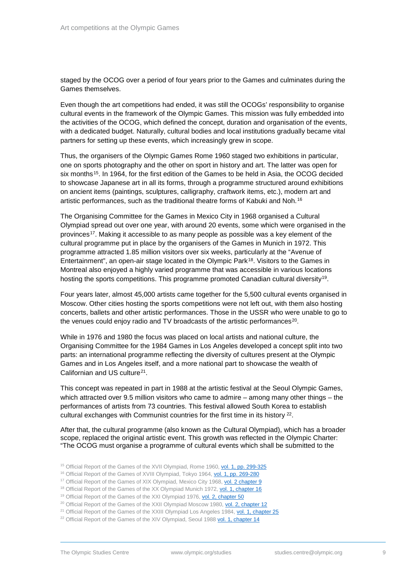staged by the OCOG over a period of four years prior to the Games and culminates during the Games themselves.

Even though the art competitions had ended, it was still the OCOGs' responsibility to organise cultural events in the framework of the Olympic Games. This mission was fully embedded into the activities of the OCOG, which defined the concept, duration and organisation of the events, with a dedicated budget. Naturally, cultural bodies and local institutions gradually became vital partners for setting up these events, which increasingly grew in scope.

Thus, the organisers of the Olympic Games Rome 1960 staged two exhibitions in particular, one on sports photography and the other on sport in history and art. The latter was open for six months<sup>15</sup>. In 1964, for the first edition of the Games to be held in Asia, the OCOG decided to showcase Japanese art in all its forms, through a programme structured around exhibitions on ancient items (paintings, sculptures, calligraphy, craftwork items, etc.), modern art and artistic performances, such as the traditional theatre forms of Kabuki and Noh.[16](#page-8-1)

The Organising Committee for the Games in Mexico City in 1968 organised a Cultural Olympiad spread out over one year, with around 20 events, some which were organised in the provinces[17.](#page-8-2) Making it accessible to as many people as possible was a key element of the cultural programme put in place by the organisers of the Games in Munich in 1972. This programme attracted 1.85 million visitors over six weeks, particularly at the "Avenue of Entertainment", an open-air stage located in the Olympic Park[18](#page-8-3). Visitors to the Games in Montreal also enjoyed a highly varied programme that was accessible in various locations hosting the sports competitions. This programme promoted Canadian cultural diversity<sup>[19](#page-8-4)</sup>.

Four years later, almost 45,000 artists came together for the 5,500 cultural events organised in Moscow. Other cities hosting the sports competitions were not left out, with them also hosting concerts, ballets and other artistic performances. Those in the USSR who were unable to go to the venues could enjoy radio and TV broadcasts of the artistic performances<sup>[20](#page-8-5)</sup>.

While in 1976 and 1980 the focus was placed on local artists and national culture, the Organising Committee for the 1984 Games in Los Angeles developed a concept split into two parts: an international programme reflecting the diversity of cultures present at the Olympic Games and in Los Angeles itself, and a more national part to showcase the wealth of Californian and US culture<sup>21</sup>.

This concept was repeated in part in 1988 at the artistic festival at the Seoul Olympic Games, which attracted over 9.5 million visitors who came to admire – among many other things – the performances of artists from 73 countries. This festival allowed South Korea to establish cultural exchanges with Communist countries for the first time in its history [22.](#page-8-7)

After that, the cultural programme (also known as the Cultural Olympiad), which has a broader scope, replaced the original artistic event. This growth was reflected in the Olympic Charter: "The OCOG must organise a programme of cultural events which shall be submitted to the

- <span id="page-8-0"></span><sup>15</sup> Official Report of the Games of the XVII Olympiad, Rome 1960[, vol. 1, pp. 299-325](https://library.olympic.org/Default/doc/SYRACUSE/53271/the-games-of-the-xvii-olympiad-rome-1960-the-official-report-of-the-organizing-committee-ed-by-the-o)
- <span id="page-8-1"></span><sup>16</sup> Official Report of the Games of XVIII Olympiad, Tokyo 1964, [vol. 1, pp. 269-280](https://library.olympic.org/Default/doc/SYRACUSE/63146/the-games-of-the-xviii-olympiad-tokyo-1964-the-official-report-of-the-organizing-committee)
- <span id="page-8-2"></span><sup>17</sup> Official Report of the Games of XIX Olympiad, Mexico City 1968[, vol. 2 chapter 9](https://library.olympic.org/Default/doc/SYRACUSE/53580/mexico-68-comite-organisateur-des-jeux-de-la-xix-olympiade)
- <span id="page-8-3"></span><sup>18</sup> Official Report of the Games of the XX Olympiad Munich 1972[, vol. 1, chapter 16](https://library.olympic.org/Default/doc/SYRACUSE/21775/die-spiele-le-rapport-officiel-du-comite-organisateur-des-jeux-de-la-xxe-olympiade-munich-1972)
- <span id="page-8-4"></span><sup>19</sup> Official Report of the Games of the XXI Olympiad 1976[, vol. 2, chapter 50](https://library.olympic.org/Default/doc/SYRACUSE/31001/montreal-1976-games-of-the-xxi-olympiad-montreal-1976-official-report-ed-cojo-76)
- <span id="page-8-5"></span><sup>20</sup> Official Report of the Games of the XXII Olympiad Moscow 1980[, vol. 2, chapter 12](https://library.olympic.org/Default/doc/SYRACUSE/46841/games-of-the-xxii-olympiad-official-report-of-the-organising-committee-of-the-games-of-the-xxii-olym)
- <span id="page-8-6"></span><sup>21</sup> Official Report of the Games of the XXIII Olympiad Los Angeles 1984[, vol. 1, chapter](https://library.olympic.org/Default/doc/SYRACUSE/49720/official-report-of-the-games-of-the-xxiiird-olympiad-los-angeles-1984-pub-by-the-los-angeles-olympic) 25
- <span id="page-8-7"></span><sup>22</sup> Official Report of the Games of the XIV Olympiad, Seoul 198[8 vol. 1, chapter](https://library.olympic.org/Default/doc/SYRACUSE/56641/official-report-games-of-the-xxivth-olympiad-seoul-1988-pub-by-the-seoul-olympic-organizing-committe) 14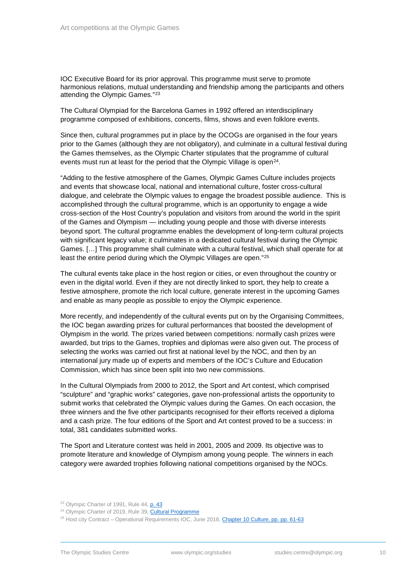IOC Executive Board for its prior approval. This programme must serve to promote harmonious relations, mutual understanding and friendship among the participants and others attending the Olympic Games."[23](#page-9-0)

The Cultural Olympiad for the Barcelona Games in 1992 offered an interdisciplinary programme composed of exhibitions, concerts, films, shows and even folklore events.

Since then, cultural programmes put in place by the OCOGs are organised in the four years prior to the Games (although they are not obligatory), and culminate in a cultural festival during the Games themselves, as the Olympic Charter stipulates that the programme of cultural events must run at least for the period that the Olympic Village is open<sup>24</sup>.

"Adding to the festive atmosphere of the Games, Olympic Games Culture includes projects and events that showcase local, national and international culture, foster cross-cultural dialogue, and celebrate the Olympic values to engage the broadest possible audience. This is accomplished through the cultural programme, which is an opportunity to engage a wide cross-section of the Host Country's population and visitors from around the world in the spirit of the Games and Olympism — including young people and those with diverse interests beyond sport. The cultural programme enables the development of long-term cultural projects with significant legacy value; it culminates in a dedicated cultural festival during the Olympic Games. […] This programme shall culminate with a cultural festival, which shall operate for at least the entire period during which the Olympic Villages are open."[25](#page-9-2)

The cultural events take place in the host region or cities, or even throughout the country or even in the digital world. Even if they are not directly linked to sport, they help to create a festive atmosphere, promote the rich local culture, generate interest in the upcoming Games and enable as many people as possible to enjoy the Olympic experience.

More recently, and independently of the cultural events put on by the Organising Committees, the IOC began awarding prizes for cultural performances that boosted the development of Olympism in the world. The prizes varied between competitions: normally cash prizes were awarded, but trips to the Games, trophies and diplomas were also given out. The process of selecting the works was carried out first at national level by the NOC, and then by an international jury made up of experts and members of the IOC's Culture and Education Commission, which has since been split into two new commissions.

In the Cultural Olympiads from 2000 to 2012, the Sport and Art contest, which comprised "sculpture" and "graphic works" categories, gave non-professional artists the opportunity to submit works that celebrated the Olympic values during the Games. On each occasion, the three winners and the five other participants recognised for their efforts received a diploma and a cash prize. The four editions of the Sport and Art contest proved to be a success: in total, 381 candidates submitted works.

The Sport and Literature contest was held in 2001, 2005 and 2009. Its objective was to promote literature and knowledge of Olympism among young people. The winners in each category were awarded trophies following national competitions organised by the NOCs.

<sup>&</sup>lt;sup>23</sup> Olympic Charter of 1991, Rule 44, [p. 43](https://library.olympic.org/Default/doc/SYRACUSE/172359/olympic-charter-1991-international-olympic-committee)

<span id="page-9-1"></span><span id="page-9-0"></span><sup>&</sup>lt;sup>24</sup> Olympic Charter of 2019, Rule 39, [Cultural Programme](https://stillmed.olympic.org/media/Document%20Library/OlympicOrg/General/EN-Olympic-Charter.pdf#_ga=2.219341404.478112553.1542622271-1449584214.1542622271)

<span id="page-9-2"></span><sup>&</sup>lt;sup>25</sup> Host city Contract – Operational Requirements IOC, June 2018, Chapter [10 Culture, pp. pp. 61-63](https://library.olympic.org/ui/plug-in/common/pdfjs/web/viewer.html?file=%2FDefault%2FdigitalCollection%2FDigitalCollectionInlineDownloadHandler.ashx%3FparentDocumentId%3D174712%26documentId%3D174713%26_cb%3D20181214065344#page=61&zoom=auto,69,708)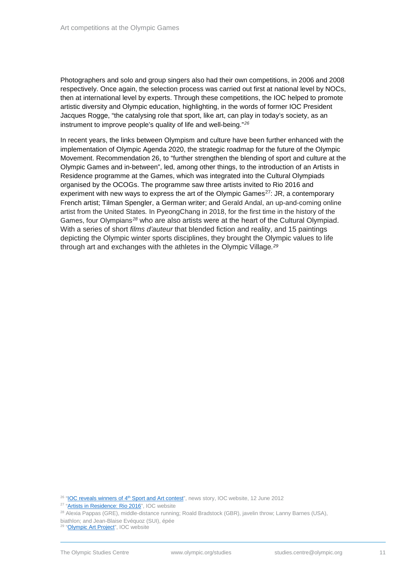Photographers and solo and group singers also had their own competitions, in 2006 and 2008 respectively. Once again, the selection process was carried out first at national level by NOCs, then at international level by experts. Through these competitions, the IOC helped to promote artistic diversity and Olympic education, highlighting, in the words of former IOC President Jacques Rogge, "the catalysing role that sport, like art, can play in today's society, as an instrument to improve people's quality of life and well-being."*[26](#page-10-0)*

In recent years, the links between Olympism and culture have been further enhanced with the implementation of Olympic Agenda 2020, the strategic roadmap for the future of the Olympic Movement. Recommendation 26, to "further strengthen the blending of sport and culture at the Olympic Games and in-between", led, among other things, to the introduction of an Artists in Residence programme at the Games, which was integrated into the Cultural Olympiads organised by the OCOGs. The programme saw three artists invited to Rio 2016 and experiment with new ways to express the art of the Olympic Games<sup>27</sup>: JR, a contemporary French artist; Tilman Spengler, a German writer; and Gerald Andal, an up-and-coming online artist from the United States*.* In PyeongChang in 2018, for the first time in the history of the Games, four Olympians*[28](#page-10-2)* who are also artists were at the heart of the Cultural Olympiad. With a series of short *films d'auteur* that blended fiction and reality, and 15 paintings depicting the Olympic winter sports disciplines, they brought the Olympic values to life through art and exchanges with the athletes in the Olympic Village*.[29](#page-10-3)*

<span id="page-10-0"></span> $26$  "IOC reveals winners of  $4<sup>th</sup>$  Sport and Art contest", news story, IOC website, 12 June 2012

<span id="page-10-2"></span><sup>28</sup> Alexia Pappas (GRE), middle-distance running; Roald Bradstock (GBR), javelin throw; Lanny Barnes (USA),

<span id="page-10-3"></span>biathlon; and Jean-Blaise Evéquoz (SUI), épée

<span id="page-10-1"></span><sup>&</sup>lt;sup>27</sup> ["Artists in Residence: Rio 2016"](https://www.olympic.org/artists-in-residence-rio-2016), IOC website

<sup>&</sup>lt;sup>29</sup> ["Olympic Art Project"](https://www.olympic.org/olympic-art-project), IOC website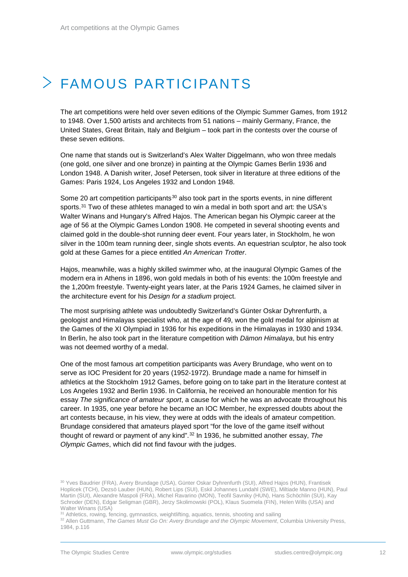# <span id="page-11-0"></span>FAMOUS PARTICIPANTS

The art competitions were held over seven editions of the Olympic Summer Games, from 1912 to 1948. Over 1,500 artists and architects from 51 nations – mainly Germany, France, the United States, Great Britain, Italy and Belgium – took part in the contests over the course of these seven editions.

One name that stands out is Switzerland's Alex Walter Diggelmann, who won three medals (one gold, one silver and one bronze) in painting at the Olympic Games Berlin 1936 and London 1948. A Danish writer, Josef Petersen, took silver in literature at three editions of the Games: Paris 1924, Los Angeles 1932 and London 1948.

Some 20 art competition participants<sup>[30](#page-11-1)</sup> also took part in the sports events, in nine different sports.<sup>[31](#page-11-2)</sup> Two of these athletes managed to win a medal in both sport and art: the USA's Walter Winans and Hungary's Alfred Hajos. The American began his Olympic career at the age of 56 at the Olympic Games London 1908. He competed in several shooting events and claimed gold in the double-shot running deer event. Four years later, in Stockholm, he won silver in the 100m team running deer, single shots events. An equestrian sculptor, he also took gold at these Games for a piece entitled *An American Trotter*.

Hajos, meanwhile, was a highly skilled swimmer who, at the inaugural Olympic Games of the modern era in Athens in 1896, won gold medals in both of his events: the 100m freestyle and the 1,200m freestyle. Twenty-eight years later, at the Paris 1924 Games, he claimed silver in the architecture event for his *Design for a stadium* project.

The most surprising athlete was undoubtedly Switzerland's Günter Oskar Dyhrenfurth, a geologist and Himalayas specialist who, at the age of 49, won the gold medal for alpinism at the Games of the XI Olympiad in 1936 for his expeditions in the Himalayas in 1930 and 1934. In Berlin, he also took part in the literature competition with *Dämon Himalaya*, but his entry was not deemed worthy of a medal.

One of the most famous art competition participants was Avery Brundage, who went on to serve as IOC President for 20 years (1952-1972). Brundage made a name for himself in athletics at the Stockholm 1912 Games, before going on to take part in the literature contest at Los Angeles 1932 and Berlin 1936. In California, he received an honourable mention for his essay *The significance of amateur sport*, a cause for which he was an advocate throughout his career. In 1935, one year before he became an IOC Member, he expressed doubts about the art contests because, in his view, they were at odds with the ideals of amateur competition. Brundage considered that amateurs played sport "for the love of the game itself without thought of reward or payment of any kind".[32](#page-11-3) In 1936, he submitted another essay, *The Olympic Games*, which did not find favour with the judges.

<span id="page-11-1"></span><sup>30</sup> Yves Baudrier (FRA), Avery Brundage (USA), Günter Oskar Dyhrenfurth (SUI), Alfred Hajos (HUN), Frantisek Hoplicek (TCH), Dezsö Lauber (HUN), Robert Lips (SUI), Eskil Johannes Lundahl (SWE), Miltiade Manno (HUN), Paul Martin (SUI), Alexandre Maspoli (FRA), Michel Ravarino (MON), Teofil Savniky (HUN), Hans Schöchlin (SUI), Kay Schroder (DEN), Edgar Seligman (GBR), Jerzy Skolimowski (POL), Klaus Suomela (FIN), Helen Wills (USA) and Walter Winans (USA)

<sup>31</sup> Athletics, rowing, fencing, gymnastics, weightlifting, aquatics, tennis, shooting and sailing

<span id="page-11-3"></span><span id="page-11-2"></span><sup>&</sup>lt;sup>32</sup> Allen Guttmann, *The Games Must Go On: Avery Brundage and the Olympic Movement*, Columbia University Press, 1984, p.116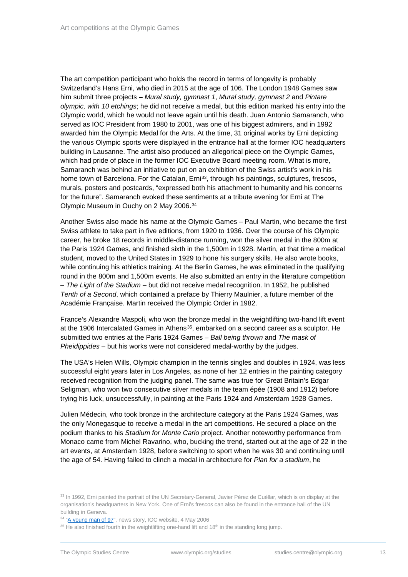The art competition participant who holds the record in terms of longevity is probably Switzerland's Hans Erni, who died in 2015 at the age of 106. The London 1948 Games saw him submit three projects – *Mural study, gymnast 1*, *Mural study, gymnast 2* and *Pintare olympic, with 10 etchings*; he did not receive a medal, but this edition marked his entry into the Olympic world, which he would not leave again until his death. Juan Antonio Samaranch, who served as IOC President from 1980 to 2001, was one of his biggest admirers, and in 1992 awarded him the Olympic Medal for the Arts. At the time, 31 original works by Erni depicting the various Olympic sports were displayed in the entrance hall at the former IOC headquarters building in Lausanne. The artist also produced an allegorical piece on the Olympic Games, which had pride of place in the former IOC Executive Board meeting room. What is more, Samaranch was behind an initiative to put on an exhibition of the Swiss artist's work in his home town of Barcelona. For the Catalan, Erni<sup>33</sup>, through his paintings, sculptures, frescos, murals, posters and postcards, "expressed both his attachment to humanity and his concerns for the future". Samaranch evoked these sentiments at a tribute evening for Erni at The Olympic Museum in Ouchy on 2 May 2006.[34](#page-12-1)

Another Swiss also made his name at the Olympic Games – Paul Martin, who became the first Swiss athlete to take part in five editions, from 1920 to 1936. Over the course of his Olympic career, he broke 18 records in middle-distance running, won the silver medal in the 800m at the Paris 1924 Games, and finished sixth in the 1,500m in 1928. Martin, at that time a medical student, moved to the United States in 1929 to hone his surgery skills. He also wrote books, while continuing his athletics training. At the Berlin Games, he was eliminated in the qualifying round in the 800m and 1,500m events. He also submitted an entry in the literature competition – *The Light of the Stadium* – but did not receive medal recognition. In 1952, he published *Tenth of a Second*, which contained a preface by Thierry Maulnier, a future member of the Académie Française. Martin received the Olympic Order in 1982.

France's Alexandre Maspoli, who won the bronze medal in the weightlifting two-hand lift event at the 1906 Intercalated Games in Athens[35](#page-12-2), embarked on a second career as a sculptor. He submitted two entries at the Paris 1924 Games – *Ball being thrown* and *The mask of Pheidippides* – but his works were not considered medal-worthy by the judges.

The USA's Helen Wills, Olympic champion in the tennis singles and doubles in 1924, was less successful eight years later in Los Angeles, as none of her 12 entries in the painting category received recognition from the judging panel. The same was true for Great Britain's Edgar Seligman, who won two consecutive silver medals in the team épée (1908 and 1912) before trying his luck, unsuccessfully, in painting at the Paris 1924 and Amsterdam 1928 Games.

Julien Médecin, who took bronze in the architecture category at the Paris 1924 Games, was the only Monegasque to receive a medal in the art competitions. He secured a place on the podium thanks to his *Stadium for Monte Carlo* project. Another noteworthy performance from Monaco came from Michel Ravarino, who, bucking the trend, started out at the age of 22 in the art events, at Amsterdam 1928, before switching to sport when he was 30 and continuing until the age of 54. Having failed to clinch a medal in architecture for *Plan for a stadium*, he

<span id="page-12-0"></span><sup>&</sup>lt;sup>33</sup> In 1992, Erni painted the portrait of the UN Secretary-General, Javier Pérez de Cuéllar, which is on display at the organisation's headquarters in New York. One of Erni's frescos can also be found in the entrance hall of the UN building in Geneva.

<sup>&</sup>lt;sup>34</sup> ["A young man of 97"](https://www.olympic.org/news/a-young-man-of-97), news story, IOC website, 4 May 2006

<span id="page-12-2"></span><span id="page-12-1"></span> $35$  He also finished fourth in the weightlifting one-hand lift and  $18<sup>th</sup>$  in the standing long jump.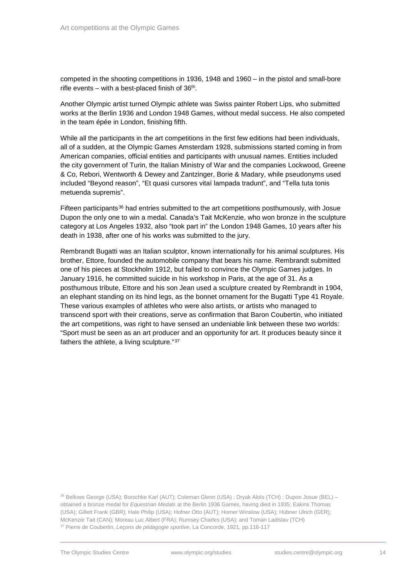competed in the shooting competitions in 1936, 1948 and 1960 – in the pistol and small-bore rifle events – with a best-placed finish of  $36<sup>th</sup>$ .

Another Olympic artist turned Olympic athlete was Swiss painter Robert Lips, who submitted works at the Berlin 1936 and London 1948 Games, without medal success. He also competed in the team épée in London, finishing fifth.

While all the participants in the art competitions in the first few editions had been individuals, all of a sudden, at the Olympic Games Amsterdam 1928, submissions started coming in from American companies, official entities and participants with unusual names. Entities included the city government of Turin, the Italian Ministry of War and the companies Lockwood, Greene & Co, Rebori, Wentworth & Dewey and Zantzinger, Borie & Madary, while pseudonyms used included "Beyond reason", "Et quasi cursores vitaï lampada tradunt", and "Tella tuta tonis metuenda supremis".

Fifteen participants<sup>[36](#page-13-0)</sup> had entries submitted to the art competitions posthumously, with Josue Dupon the only one to win a medal. Canada's Tait McKenzie, who won bronze in the sculpture category at Los Angeles 1932, also "took part in" the London 1948 Games, 10 years after his death in 1938, after one of his works was submitted to the jury.

Rembrandt Bugatti was an Italian sculptor, known internationally for his animal sculptures. His brother, Ettore, founded the automobile company that bears his name. Rembrandt submitted one of his pieces at Stockholm 1912, but failed to convince the Olympic Games judges. In January 1916, he committed suicide in his workshop in Paris, at the age of 31. As a posthumous tribute, Ettore and his son Jean used a sculpture created by Rembrandt in 1904, an elephant standing on its hind legs, as the bonnet ornament for the Bugatti Type 41 Royale. These various examples of athletes who were also artists, or artists who managed to transcend sport with their creations, serve as confirmation that Baron Coubertin, who initiated the art competitions, was right to have sensed an undeniable link between these two worlds: "Sport must be seen as an art producer and an opportunity for art. It produces beauty since it fathers the athlete, a living sculpture."[37](#page-13-1)

<span id="page-13-1"></span><span id="page-13-0"></span><sup>36</sup> Bellows George (USA); Borschke Karl (AUT); Coleman Glenn (USA) ; Dryak Aloïs (TCH) ; Dupon Josue (BEL) – obtained a bronze medal for *Equestrian Medals* at the Berlin 1936 Games, having died in 1935; Eakins Thomas (USA); Gillett Frank (GBR); Hale Philip (USA); Hofner Otto (AUT); Homer Winslow (USA); Hübner Ulrich (GER); McKenzie Tait (CAN); Moreau Luc Albert (FRA); Rumsey Charles (USA); and Toman Ladislav (TCH) <sup>37</sup> Pierre de Coubertin, *Leçons de pédagogie sportive*, La Concorde, 1921, pp.116-117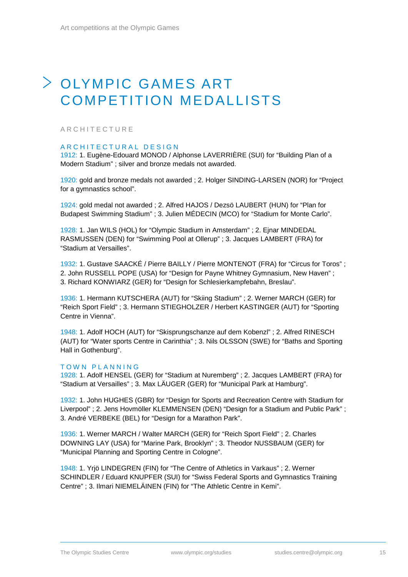## <span id="page-14-0"></span>OLYMPIC GAMES ART COMPETITION MEDALLISTS

### <span id="page-14-1"></span>ARCHITECTURE

### ARCHITECTURAL DESIGN

1912: 1. Eugène-Edouard MONOD / Alphonse LAVERRIÈRE (SUI) for "Building Plan of a Modern Stadium" ; silver and bronze medals not awarded.

1920: gold and bronze medals not awarded ; 2. Holger SINDING-LARSEN (NOR) for "Project for a gymnastics school".

1924: gold medal not awarded ; 2. Alfred HAJOS / Dezsö LAUBERT (HUN) for "Plan for Budapest Swimming Stadium" ; 3. Julien MÉDECIN (MCO) for "Stadium for Monte Carlo".

1928: 1. Jan WILS (HOL) for "Olympic Stadium in Amsterdam" ; 2. Ejnar MINDEDAL RASMUSSEN (DEN) for "Swimming Pool at Ollerup" ; 3. Jacques LAMBERT (FRA) for "Stadium at Versailles".

1932: 1. Gustave SAACKÉ / Pierre BAILLY / Pierre MONTENOT (FRA) for "Circus for Toros" ; 2. John RUSSELL POPE (USA) for "Design for Payne Whitney Gymnasium, New Haven" ; 3. Richard KONWIARZ (GER) for "Design for Schlesierkampfebahn, Breslau".

1936: 1. Hermann KUTSCHERA (AUT) for "Skiing Stadium" ; 2. Werner MARCH (GER) for "Reich Sport Field" ; 3. Hermann STIEGHOLZER / Herbert KASTINGER (AUT) for "Sporting Centre in Vienna".

1948: 1. Adolf HOCH (AUT) for "Skisprungschanze auf dem Kobenzl" ; 2. Alfred RINESCH (AUT) for "Water sports Centre in Carinthia" ; 3. Nils OLSSON (SWE) for "Baths and Sporting Hall in Gothenburg".

#### TOWN PLANNING

1928: 1. Adolf HENSEL (GER) for "Stadium at Nuremberg" ; 2. Jacques LAMBERT (FRA) for "Stadium at Versailles" ; 3. Max LÄUGER (GER) for "Municipal Park at Hamburg".

1932: 1. John HUGHES (GBR) for "Design for Sports and Recreation Centre with Stadium for Liverpool" ; 2. Jens Hovmöller KLEMMENSEN (DEN) "Design for a Stadium and Public Park" ; 3. André VERBEKE (BEL) for "Design for a Marathon Park".

1936: 1. Werner MARCH / Walter MARCH (GER) for "Reich Sport Field" ; 2. Charles DOWNING LAY (USA) for "Marine Park, Brooklyn" ; 3. Theodor NUSSBAUM (GER) for "Municipal Planning and Sporting Centre in Cologne".

1948: 1. Yrjö LINDEGREN (FIN) for "The Centre of Athletics in Varkaus" ; 2. Werner SCHINDLER / Eduard KNUPFER (SUI) for "Swiss Federal Sports and Gymnastics Training Centre" ; 3. Ilmari NIEMELÄINEN (FIN) for "The Athletic Centre in Kemi".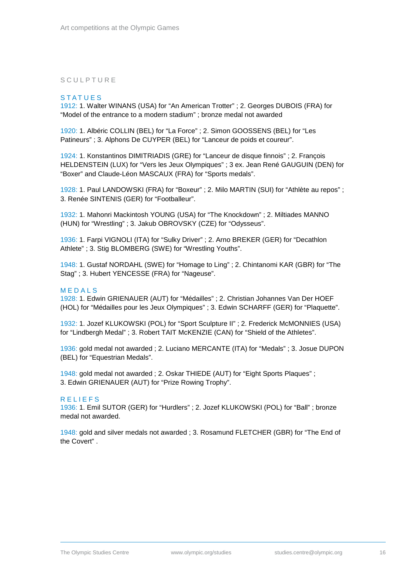### <span id="page-15-0"></span>**SCULPTURE**

#### **STATUES**

1912: 1. Walter WINANS (USA) for "An American Trotter" ; 2. Georges DUBOIS (FRA) for "Model of the entrance to a modern stadium" ; bronze medal not awarded

1920: 1. Albéric COLLIN (BEL) for "La Force" ; 2. Simon GOOSSENS (BEL) for "Les Patineurs" ; 3. Alphons De CUYPER (BEL) for "Lanceur de poids et coureur".

1924: 1. Konstantinos DIMITRIADIS (GRE) for "Lanceur de disque finnois" ; 2. François HELDENSTEIN (LUX) for "Vers les Jeux Olympiques" ; 3 ex. Jean René GAUGUIN (DEN) for "Boxer" and Claude-Léon MASCAUX (FRA) for "Sports medals".

1928: 1. Paul LANDOWSKI (FRA) for "Boxeur" ; 2. Milo MARTIN (SUI) for "Athlète au repos" ; 3. Renée SINTENIS (GER) for "Footballeur".

1932: 1. Mahonri Mackintosh YOUNG (USA) for "The Knockdown" ; 2. Miltiades MANNO (HUN) for "Wrestling" ; 3. Jakub OBROVSKY (CZE) for "Odysseus".

1936: 1. Farpi VIGNOLI (ITA) for "Sulky Driver" ; 2. Arno BREKER (GER) for "Decathlon Athlete" ; 3. Stig BLOMBERG (SWE) for "Wrestling Youths".

1948: 1. Gustaf NORDAHL (SWE) for "Homage to Ling" ; 2. Chintanomi KAR (GBR) for "The Stag" ; 3. Hubert YENCESSE (FRA) for "Nageuse".

#### M EDALS

1928: 1. Edwin GRIENAUER (AUT) for "Médailles" ; 2. Christian Johannes Van Der HOEF (HOL) for "Médailles pour les Jeux Olympiques" ; 3. Edwin SCHARFF (GER) for "Plaquette".

1932: 1. Jozef KLUKOWSKI (POL) for "Sport Sculpture II" ; 2. Frederick McMONNIES (USA) for "Lindbergh Medal" ; 3. Robert TAIT McKENZIE (CAN) for "Shield of the Athletes".

1936: gold medal not awarded ; 2. Luciano MERCANTE (ITA) for "Medals" ; 3. Josue DUPON (BEL) for "Equestrian Medals".

1948: gold medal not awarded ; 2. Oskar THIEDE (AUT) for "Eight Sports Plaques" ; 3. Edwin GRIENAUER (AUT) for "Prize Rowing Trophy".

#### RELIEFS

1936: 1. Emil SUTOR (GER) for "Hurdlers" ; 2. Jozef KLUKOWSKI (POL) for "Ball" ; bronze medal not awarded.

1948: gold and silver medals not awarded ; 3. Rosamund FLETCHER (GBR) for "The End of the Covert" .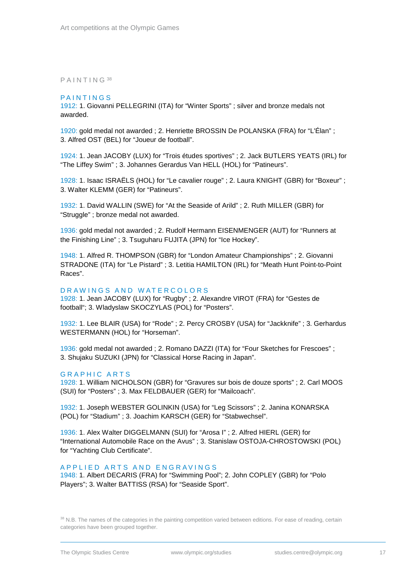#### <span id="page-16-0"></span>PAINTING [38](#page-16-1)

#### PAINTINGS

1912: 1. Giovanni PELLEGRINI (ITA) for "Winter Sports" ; silver and bronze medals not awarded.

1920: gold medal not awarded ; 2. Henriette BROSSIN De POLANSKA (FRA) for "L'Élan" ; 3. Alfred OST (BEL) for "Joueur de football".

1924: 1. Jean JACOBY (LUX) for "Trois études sportives" ; 2. Jack BUTLERS YEATS (IRL) for "The Liffey Swim" ; 3. Johannes Gerardus Van HELL (HOL) for "Patineurs".

1928: 1. Isaac ISRAËLS (HOL) for "Le cavalier rouge" ; 2. Laura KNIGHT (GBR) for "Boxeur" ; 3. Walter KLEMM (GER) for "Patineurs".

1932: 1. David WALLIN (SWE) for "At the Seaside of Arild" ; 2. Ruth MILLER (GBR) for "Struggle" ; bronze medal not awarded.

1936: gold medal not awarded ; 2. Rudolf Hermann EISENMENGER (AUT) for "Runners at the Finishing Line" ; 3. Tsuguharu FUJITA (JPN) for "Ice Hockey".

1948: 1. Alfred R. THOMPSON (GBR) for "London Amateur Championships" ; 2. Giovanni STRADONE (ITA) for "Le Pistard" ; 3. Letitia HAMILTON (IRL) for "Meath Hunt Point-to-Point Races".

#### DRAWINGS AND WATERCOLORS

1928: 1. Jean JACOBY (LUX) for "Rugby" ; 2. Alexandre VIROT (FRA) for "Gestes de football"; 3. Wladyslaw SKOCZYLAS (POL) for "Posters".

1932: 1. Lee BLAIR (USA) for "Rode" ; 2. Percy CROSBY (USA) for "Jackknife" ; 3. Gerhardus WESTERMANN (HOL) for "Horseman".

1936: gold medal not awarded ; 2. Romano DAZZI (ITA) for "Four Sketches for Frescoes" ; 3. Shujaku SUZUKI (JPN) for "Classical Horse Racing in Japan".

#### G R APHIC ARTS

1928: 1. William NICHOLSON (GBR) for "Gravures sur bois de douze sports" ; 2. Carl MOOS (SUI) for "Posters" ; 3. Max FELDBAUER (GER) for "Mailcoach".

1932: 1. Joseph WEBSTER GOLINKIN (USA) for "Leg Scissors" ; 2. Janina KONARSKA (POL) for "Stadium" ; 3. Joachim KARSCH (GER) for "Stabwechsel".

1936: 1. Alex Walter DIGGELMANN (SUI) for "Arosa I" ; 2. Alfred HIERL (GER) for "International Automobile Race on the Avus" ; 3. Stanislaw OSTOJA-CHROSTOWSKI (POL) for "Yachting Club Certificate".

#### APPLIED A RTS AND ENGRAVINGS

1948: 1. Albert DECARIS (FRA) for "Swimming Pool"; 2. John COPLEY (GBR) for "Polo Players"; 3. Walter BATTISS (RSA) for "Seaside Sport".

<span id="page-16-1"></span><sup>38</sup> N.B. The names of the categories in the painting competition varied between editions. For ease of reading, certain categories have been grouped together.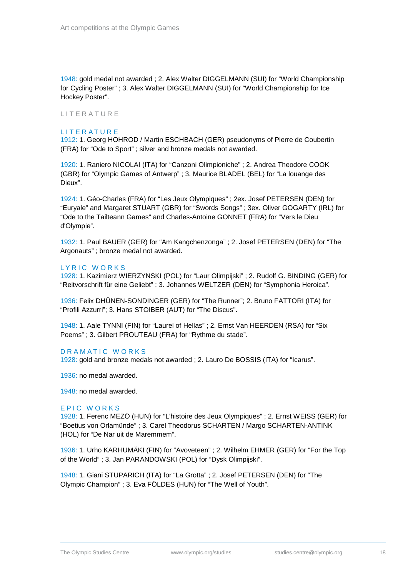1948: gold medal not awarded ; 2. Alex Walter DIGGELMANN (SUI) for "World Championship for Cycling Poster" ; 3. Alex Walter DIGGELMANN (SUI) for "World Championship for Ice Hockey Poster".

#### <span id="page-17-0"></span>**LITERATURE**

#### **LITERATURE**

1912: 1. Georg HOHROD / Martin ESCHBACH (GER) pseudonyms of Pierre de Coubertin (FRA) for "Ode to Sport" ; silver and bronze medals not awarded.

1920: 1. Raniero NICOLAI (ITA) for "Canzoni Olimpioniche" ; 2. Andrea Theodore COOK (GBR) for "Olympic Games of Antwerp" ; 3. Maurice BLADEL (BEL) for "La louange des Dieux".

1924: 1. Géo-Charles (FRA) for "Les Jeux Olympiques" ; 2ex. Josef PETERSEN (DEN) for "Euryale" and Margaret STUART (GBR) for "Swords Songs" ; 3ex. Oliver GOGARTY (IRL) for "Ode to the Tailteann Games" and Charles-Antoine GONNET (FRA) for "Vers le Dieu d'Olympie".

1932: 1. Paul BAUER (GER) for "Am Kangchenzonga" ; 2. Josef PETERSEN (DEN) for "The Argonauts" ; bronze medal not awarded.

#### LYRIC WORKS

1928: 1. Kazimierz WIERZYNSKI (POL) for "Laur Olimpijski" ; 2. Rudolf G. BINDING (GER) for "Reitvorschrift für eine Geliebt" ; 3. Johannes WELTZER (DEN) for "Symphonia Heroica".

1936: Felix DHÜNEN-SONDINGER (GER) for "The Runner"; 2. Bruno FATTORI (ITA) for "Profili Azzurri"; 3. Hans STOIBER (AUT) for "The Discus".

1948: 1. Aale TYNNI (FIN) for "Laurel of Hellas" ; 2. Ernst Van HEERDEN (RSA) for "Six Poems" ; 3. Gilbert PROUTEAU (FRA) for "Rythme du stade".

#### DRAMATIC WORKS

1928: gold and bronze medals not awarded ; 2. Lauro De BOSSIS (ITA) for "Icarus".

1936: no medal awarded.

1948: no medal awarded.

#### EPIC WORKS

1928: 1. Ferenc MEZÖ (HUN) for "L'histoire des Jeux Olympiques" ; 2. Ernst WEISS (GER) for "Boetius von Orlamünde" ; 3. Carel Theodorus SCHARTEN / Margo SCHARTEN-ANTINK (HOL) for "De Nar uit de Maremmem".

1936: 1. Urho KARHUMÄKI (FIN) for "Avoveteen" ; 2. Wilhelm EHMER (GER) for "For the Top of the World" ; 3. Jan PARANDOWSKI (POL) for "Dysk Olimpijski".

1948: 1. Giani STUPARICH (ITA) for "La Grotta" ; 2. Josef PETERSEN (DEN) for "The Olympic Champion" ; 3. Eva FÖLDES (HUN) for "The Well of Youth".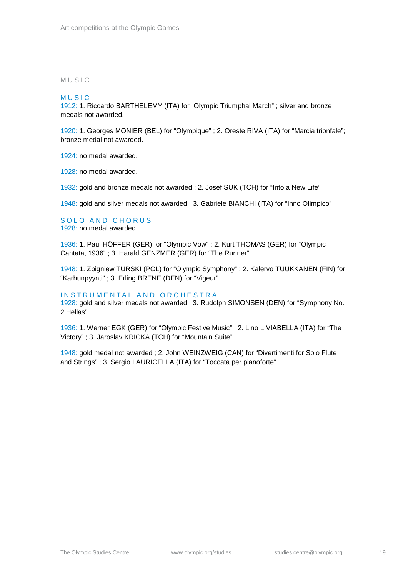#### <span id="page-18-0"></span>MUSI C

#### **MUSIC**

1912: 1. Riccardo BARTHELEMY (ITA) for "Olympic Triumphal March" ; silver and bronze medals not awarded.

1920: 1. Georges MONIER (BEL) for "Olympique" ; 2. Oreste RIVA (ITA) for "Marcia trionfale"; bronze medal not awarded.

1924: no medal awarded.

1928: no medal awarded.

1932: gold and bronze medals not awarded ; 2. Josef SUK (TCH) for "Into a New Life"

1948: gold and silver medals not awarded ; 3. Gabriele BIANCHI (ITA) for "Inno Olimpico"

#### SOLO AND CHORUS 1928: no medal awarded.

1936: 1. Paul HÖFFER (GER) for "Olympic Vow" ; 2. Kurt THOMAS (GER) for "Olympic Cantata, 1936" ; 3. Harald GENZMER (GER) for "The Runner".

1948: 1. Zbigniew TURSKI (POL) for "Olympic Symphony" ; 2. Kalervo TUUKKANEN (FIN) for "Karhunpyynti" ; 3. Erling BRENE (DEN) for "Vigeur".

#### INSTRUMENTAL AND ORCHESTRA

1928: gold and silver medals not awarded ; 3. Rudolph SIMONSEN (DEN) for "Symphony No. 2 Hellas".

1936: 1. Werner EGK (GER) for "Olympic Festive Music" ; 2. Lino LIVIABELLA (ITA) for "The Victory" ; 3. Jaroslav KRICKA (TCH) for "Mountain Suite".

1948: gold medal not awarded ; 2. John WEINZWEIG (CAN) for "Divertimenti for Solo Flute and Strings" ; 3. Sergio LAURICELLA (ITA) for "Toccata per pianoforte".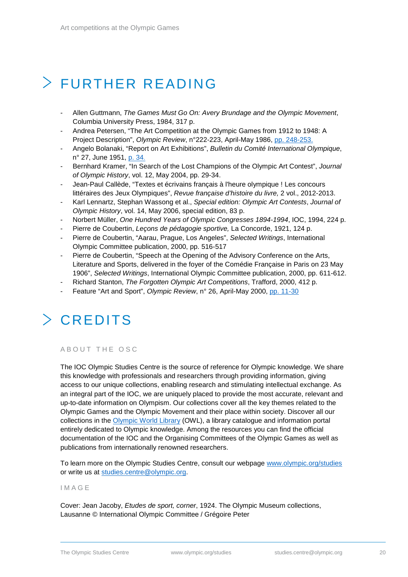# <span id="page-19-0"></span>FURTHER READING

- Allen Guttmann, *The Games Must Go On: Avery Brundage and the Olympic Movement*, Columbia University Press, 1984, 317 p.
- Andrea Petersen, "The Art Competition at the Olympic Games from 1912 to 1948: A Project Description", *Olympic Review*, n°222-223, April-May 1986, pp. [248-253.](https://library.olympic.org/Default/doc/SYRACUSE/169043/olympic-review-official-publication-of-the-olympic-movement-vol-222-223-april-may-1986)
- Angelo Bolanaki, "Report on Art Exhibitions", *Bulletin du Comité International Olympique*, n° 27, June 1951, [p. 34.](https://library.olympic.org/Default/doc/SYRACUSE/169951/bulletin-du-comite-international-olympique-vol-27-juin-1951)
- Bernhard Kramer, "In Search of the Lost Champions of the Olympic Art Contest", *Journal of Olympic History*, vol. 12, May 2004, pp. 29-34.
- Jean-Paul Callède, "Textes et écrivains français à l'heure olympique ! Les concours littéraires des Jeux Olympiques", *Revue française d'histoire du livre,* 2 vol., 2012-2013.
- Karl Lennartz, Stephan Wassong et al., *Special edition: Olympic Art Contests*, *Journal of Olympic History*, vol. 14, May 2006, special edition, 83 p.
- Norbert Müller, *One Hundred Years of Olympic Congresses 1894-1994*, IOC, 1994, 224 p.
- Pierre de Coubertin, *Leçons de pédagogie sportive,* La Concorde, 1921, 124 p.
- Pierre de Coubertin, "Aarau, Prague, Los Angeles", *Selected Writings*, International Olympic Committee publication, 2000, pp. 516-517
- Pierre de Coubertin, "Speech at the Opening of the Advisory Conference on the Arts, Literature and Sports, delivered in the foyer of the Comédie Française in Paris on 23 May 1906", *Selected Writings*, International Olympic Committee publication, 2000, pp. 611-612.
- Richard Stanton, *The Forgotten Olympic Art Competitions*, Trafford, 2000, 412 p.
- <span id="page-19-1"></span>- Feature "Art and Sport", *Olympic Review*, n° 26, April-May 2000, [pp. 11-30](https://library.olympic.org/Default/doc/SYRACUSE/169264/olympic-review-official-publication-of-the-olympic-movement-vol-xxvi-32-april-may-2000)

# CREDITS

### <span id="page-19-2"></span>ABOUT THE OSC

The IOC Olympic Studies Centre is the source of reference for Olympic knowledge. We share this knowledge with professionals and researchers through providing information, giving access to our unique collections, enabling research and stimulating intellectual exchange. As an integral part of the IOC, we are uniquely placed to provide the most accurate, relevant and up-to-date information on Olympism. Our collections cover all the key themes related to the Olympic Games and the Olympic Movement and their place within society. Discover all our collections in the [Olympic World Library](https://library.olympic.org/default.aspx?_lg=en-GB) (OWL), a library catalogue and information portal entirely dedicated to Olympic knowledge. Among the resources you can find the official documentation of the IOC and the Organising Committees of the Olympic Games as well as publications from internationally renowned researchers.

To learn more on the Olympic Studies Centre, consult our webpage [www.olympic.org/studies](http://www.olympic.org/studies) or write us at [studies.centre@olympic.org.](mailto:studies.centre@olympic.org)

### <span id="page-19-3"></span>IMAGE

Cover: Jean Jacoby, *Etudes de sport, corner*, 1924. The Olympic Museum collections, Lausanne © International Olympic Committee / Grégoire Peter